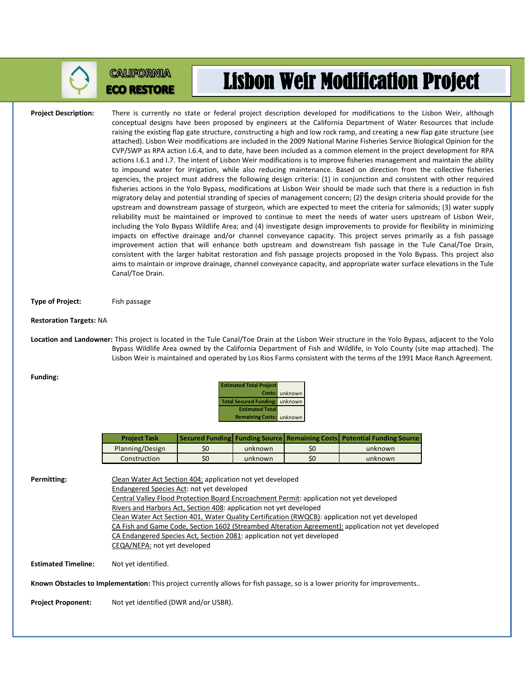

## **CALIFORNIA ECO RESTORE**

## Lisbon Weir Modification Project

**Project Description:** There is currently no state or federal project description developed for modifications to the Lisbon Weir, although conceptual designs have been proposed by engineers at the California Department of Water Resources that include raising the existing flap gate structure, constructing a high and low rock ramp, and creating a new flap gate structure (see attached). Lisbon Weir modifications are included in the 2009 National Marine Fisheries Service Biological Opinion for the CVP/SWP as RPA action I.6.4, and to date, have been included as a common element in the project development for RPA actions I.6.1 and I.7. The intent of Lisbon Weir modifications is to improve fisheries management and maintain the ability to impound water for irrigation, while also reducing maintenance. Based on direction from the collective fisheries agencies, the project must address the following design criteria: (1) in conjunction and consistent with other required fisheries actions in the Yolo Bypass, modifications at Lisbon Weir should be made such that there is a reduction in fish migratory delay and potential stranding of species of management concern; (2) the design criteria should provide for the upstream and downstream passage of sturgeon, which are expected to meet the criteria for salmonids; (3) water supply reliability must be maintained or improved to continue to meet the needs of water users upstream of Lisbon Weir, including the Yolo Bypass Wildlife Area; and (4) investigate design improvements to provide for flexibility in minimizing impacts on effective drainage and/or channel conveyance capacity. This project serves primarily as a fish passage improvement action that will enhance both upstream and downstream fish passage in the Tule Canal/Toe Drain, consistent with the larger habitat restoration and fish passage projects proposed in the Yolo Bypass. This project also aims to maintain or improve drainage, channel conveyance capacity, and appropriate water surface elevations in the Tule Canal/Toe Drain.

**Type of Project:** Fish passage

## **Restoration Targets:** NA

**Location and Landowner:** This project is located in the Tule Canal/Toe Drain at the Lisbon Weir structure in the Yolo Bypass, adjacent to the Yolo Bypass Wildlife Area owned by the California Department of Fish and Wildlife, in Yolo County (site map attached). The Lisbon Weir is maintained and operated by Los Rios Farms consistent with the terms of the 1991 Mace Ranch Agreement.

| Funding: |
|----------|
|----------|

| <b>Estimated Total Project</b>        |                |
|---------------------------------------|----------------|
|                                       | Costs: unknown |
| <b>Total Secured Funding:</b> unknown |                |
| <b>Estimated Total</b>                |                |
| <b>Remaining Costs:</b> unknown       |                |

| <b>Project Task</b> |     |         |    | Secured Funding Funding Source Remaining Costs Potential Funding Source |
|---------------------|-----|---------|----|-------------------------------------------------------------------------|
| Planning/Design     | \$0 | unknown | S0 | unknown                                                                 |
| Construction        | \$0 | unknown | S0 | unknown                                                                 |

Permitting: Clean Water Act Section 404: application not yet developed Endangered Species Act: not yet developed Central Valley Flood Protection Board Encroachment Permit: application not yet developed Rivers and Harbors Act, Section 408: application not yet developed Clean Water Act Section 401, Water Quality Certification (RWQCB): application not yet developed CA Fish and Game Code, Section 1602 (Streambed Alteration Agreement): application not yet developed CA Endangered Species Act, Section 2081: application not yet developed CEQA/NEPA: not yet developed **Estimated Timeline:** Not yet identified. **Known Obstacles to Implementation:** This project currently allows for fish passage, so is a lower priority for improvements..

**Project Proponent:** Not yet identified (DWR and/or USBR).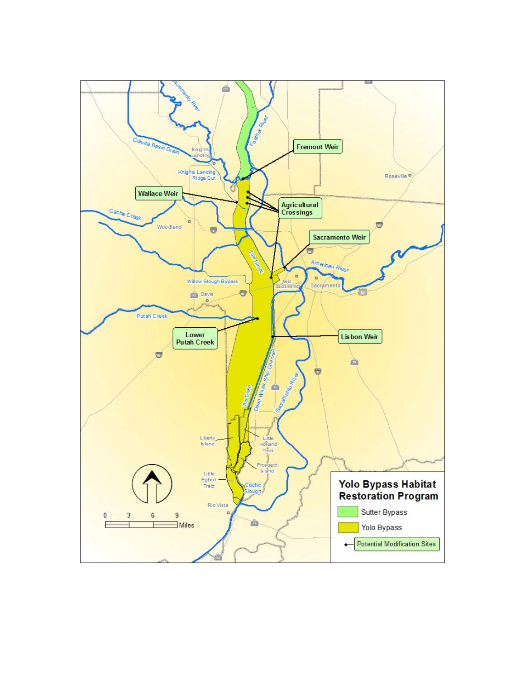